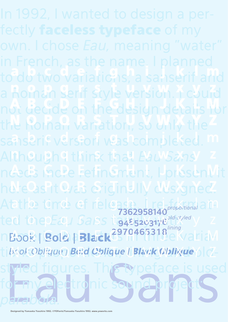Designed by Yamaoka Yasuhiro 1992. ©YOFonts/Yamaoka Yasuhiro 1992. www.yoworks.com

in French, as the name. I planned to do two variations; a sanserif and a Roman serif style version. I could not decide on the design details for the Roman variation, so whly the sanserif version was completed. Although I think that *Eau Sans*  nceds more refinement, I present it here as it eras originally dusigned. Atathe time of release, I re-formational atted theo Eau Sanss takes2031, Wild style n Book | Bold **| Black & 10465318** e Waria **7362958140 9485203176 2970465318** *proportional old-styled lining*  $a_1 b_1 c_2 c_3$ Rohan Sarif Stvib Varticht Kohlin A Bergelon the Adsidin delsel N N Porha? Varation SY Will the Z abcerif verstorf veas completed. m **Itheugh 9 thing that Eau Sans Z** ABCB Mole Fetinement, LpresenMi athe time of release I retroportional aim not the of all Sans the 19495203176 Molestyled y z Book | Bold a Black & M10465318 e Kralria M

# This typeface is use  $t$ ibsok Oblique Bold Chlique ||Black Whitwer | 7styled figures. This typeface is used for my electronic sound project: *parabola.*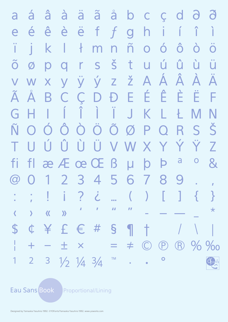â à ä ã å  $b$  c c d  $\partial$   $\partial$ á a 1 èëf f ê ghi é ì e  $\overline{\mathbf{t}}$  $\ddot{\mathrm{o}}$  $\hat{O}$  $\tilde{\Pi}$  $0\delta$  $\dot{\mathbf{O}}$  $\mathsf k$  $m$  $n$ т t r s š û Ú ù  $\bf\tilde{O}$  $\overline{u}$ p q Ø U yÿýzžAÁÂÀ  $\overline{\mathsf{A}}$ W X  $\overline{\mathsf{V}}$ CDDEÉÈÈ ٠Ë Ã Å  $\mathsf{C}$ Æ B ÏJK  $\hat{\mathsf{I}}$ G Н T  $\mathbf{I}$ - L -Ł. M N ÔÒÖÕØPQ  $\bullet$ Š Ñ R S  $\bigcirc$ ÚÛÛÛVWXYÝŸ Τ Z U  $\mathsf{a}$ æ Æ œ Œ ß µ b **b**  $8$  $\overline{O}$  $f$ fi 2 3 4 5 6 7 8 9  $\bigcirc$  $\overline{O}$ 1  $? i$ T 1  $\{$ Ť  $($  $\}$ a.  $\blacksquare$  $\blacksquare$  $\star$  $\mathbf{r}$  $\boldsymbol{\Sigma}$  $\blacktriangleright$  $\blacktriangle$  $\overline{\phantom{a}}$  $*$   $f \in H$  $\mathbf{S}$  $+$  $\mathbf{\mathcal{S}}$ ¢  $\mathbf T$  $\sqrt{2}$ **Contract Contract** 

### **TM** 3  $\mathbf O$  $\frac{1}{2}$   $\frac{1}{4}$   $\frac{3}{4}$

#### **Eau Sans Book Proportional/Lining**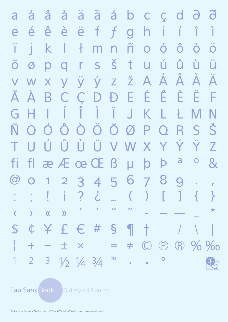â à ä ã å b c ç d d đ á a  $\sqrt{1}$ èëf f ê ghi é Ì e  $\ddot{\mathbf{O}}$ Ô  $\tilde{\Pi}$  $0\delta$  $\mathsf k$ - 1  $\dot{\mathbf{O}}$  $m$  $n$ т r s š û  $t$ Ú ù  $\bf\widetilde{O}$  $\overline{u}$ p **D** Ø  $\overline{u}$ yÿýzžAÁÂÀ  $\overline{\mathsf{A}}$ W X  $\overline{\mathsf{V}}$ ÇDĐEÉÊË Ã Å  $\mathsf{C}$ Æ B 1 ÏJK  $\hat{\mathsf{I}}$ G Н T  $\mathbf{I}$ - L -Ł. M N ÔÒÖÕØPQ Š  $\bullet$ Ñ R S  $\bigcirc$ ÚÛÛÛVWXYÝŸ Τ  $\overline{Z}$ U  $ae$   $E$   $oe$   $CE$   $B$   $\mu$ b b  $\mathsf{a}$  $\bigcirc$  $8$  $f$ fi.  $\bigcirc$ 1 2 3 4 5 6 7 8 9  $\overline{O}$ T  $?$   $\dot{c}$ T  $\{$ Ť  $\big)$  $\}$  $\sqrt{2}$ m.  $\blacksquare$  $\blacksquare$  $\blacksquare$  $\star$  $\boldsymbol{\Sigma}$  $\blacktriangleright$  $\blacktriangle$  $\overline{\phantom{a}}$  $*$   $f \in H$  $\int$  $1 +$  $\mathbf{\mathcal{S}}$ ¢  $\sim$   $\sim$   $\sim$   $\sim$   $\sim$ **Contractor** 

### 3 **TM**  $\mathbf O$  $\frac{1}{2}$   $\frac{1}{4}$   $\frac{3}{4}$

### **Eau Sans Book Old-styled Figures**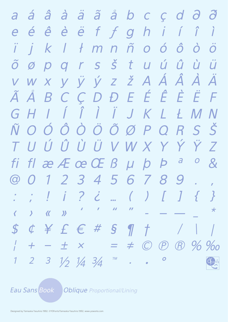$a$  á  $\hat{a}$  à  $\ddot{a}$   $\ddot{a}$   $\dot{a}$   $b$   $c$   $c$   $d$   $\partial$   $\ddot{\partial}$ èëf fghií î é ê e jk lłmnñoóôòö õøpgrsštuúûùü VWXYŸÝZŽAÁÂÀÄ à Å B C C D D E É Ê È F GHIÍÏJKLŁMN ÑOÓÔÒÖÕØPQRSŠ T U Ú Û Û Ü V W X Y Ý Ÿ Z  $\overline{a}$ flæÆœŒßµþÞ  $\mathcal{S}_{1}$  $\overline{O}$ fi -1 2 3 4 5 6 7 8 9  $\omega$  $\overline{O}$ : : ! i ? i ... ( ) [ ] { }  $\overline{a}$  and  $\overline{a}$  $\boldsymbol{\mathit{II}}$  $\boldsymbol{H}$  $\star$ **K** *>>*  $\overline{\phantom{0}}$  $*$   $f \in H S \nmid 1$  $\mathcal{S}$  $\oint$ 

### **TM** 3  $\mathbf{O}$  $V_2$   $V_4$

#### **Eau Sans Book Oblique** Proportional/Lining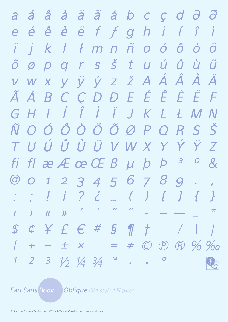$a$  á  $\hat{a}$  à  $\ddot{a}$   $\ddot{a}$   $\dot{a}$   $b$   $c$   $c$   $d$   $\partial$   $\ddot{\partial}$ èëf fghií î é ê e jk lłmnñoóôòö õøpgrsštuúûùü VWXYŸÝZŽAÁÂÀÄ à Å B C C D D E É Ê È F GHIÍÏJKLŁMN ÑOÓÔÒÖÕØPQRSŠ T U Ú Û Û Ü V W X Y Ý Ž Z fl æ Æ œ Œ ß µ þ þ ª  $\overline{O}$  $\mathcal{E}$ fi -1 2 3 4 5 6 7 8 9  $\omega$  o  $\begin{array}{cccccccccccccc} \dots & ( & ) & [ & ] & [ & ] & \{ & \} \end{array}$  $\frac{1}{2} \left( \frac{1}{2} \right) = \frac{1}{2} \left( \frac{1}{2} \right)$  $\boldsymbol{\mathit{II}}$  $\boldsymbol{H}$  $\star$ **K** *>>*  $\overline{\phantom{a}}$  $\begin{array}{cccccccccccccc} \phi & \searrow & \swarrow & \swarrow & \in & \# & \mathcal{S} & \mathcal{J} & \mathcal{T} & \end{array} \begin{array}{cccccccccccccc} \top & \mathcal{J} & \mathcal{J} & \mathcal{J} & \mathcal{J} & \mathcal{J} & \mathcal{J} & \mathcal{J} & \mathcal{J} & \mathcal{J} & \mathcal{J} & \mathcal{J} & \mathcal{J} & \mathcal{J} & \mathcal{J} & \mathcal{J} & \mathcal{J} & \mathcal{J} & \mathcal{J} & \mathcal{J} & \mathcal{J} & \mathcal{J} & \mathcal{$  $\mathcal{S}$ 

### **TM** 3  $\mathbf O$  $V_2$   $V_4$

#### **Eau Sans Book Oblique** Old-styled Figures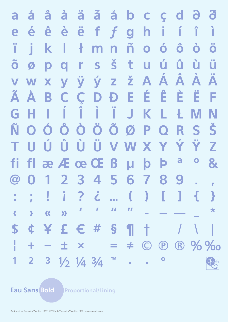ä å b c ç d ã â 3 à  $\overline{\mathbf{6}}$ á a  $f$ ë  $\mathbf{1}$ ê  $\boldsymbol{f}$ î. Î è  $h$ é ì  $\overline{g}$ e ш. ñ  $\hat{\mathbf{o}}$ п,  $\acute{o}$ î  $\dot{\mathbf{O}}$  $\mathbf k$  $\ddagger$ ı  $\bullet$  $m$ n ı  $\overline{\textbf{O}}$ Š  $\tilde{O}$ û  $\mathbf t$ ú ù  $\mathsf{r}$  $S$  $\overline{\mathsf{U}}$ q p Ø U ÁÂ ÿýzžA À A X V V W ÇDĐEÉÊ Ã Å È Æ Æ C B Ĵ Î Ì G  $\overline{\mathsf{J}}$ K н ĺ L Ł I M N ÒÖÕØP Ô Š  $\bullet$ Ñ S  $\overline{\mathbf{O}}$ R  $\Omega$ ÙÜVWX YÝ Ÿ Û Ú т Z U b Þ a  $\mathbf{z}$ æ Æ œ Œ B  $\bullet$ fi  $f<sub>1</sub>$  $\overline{\mathsf{M}}$ 2 3 4 5 6 8  $\mathbf{7}$ 9  $\overline{\mathbf{0}}$  $\bigcirc$ 1  $\blacksquare$ ?  $\mathcal{L}_{\mathcal{L}}$ 1  $\overline{ }$ E  $\{$  $\mathbf{R}$ Ī  $\blacksquare$  $\blacksquare$  $\blacksquare$  $\bigstar$  $\overline{\mathbf{K}}$  $\boldsymbol{\Sigma}$  $\blacktriangleright$  $\blacktriangleleft$  $\equiv$  $\mathbf{t}$ ¥  $f \in H$ S \$ ¢  $\P$  $\overline{a}$ **Contract Contract** 

### **TM**  $\bullet$  $\frac{1}{2}$   $\frac{1}{4}$   $\frac{3}{4}$  $\overline{\phantom{a}}$

#### **Eau Sans Bold Proportional/Lining**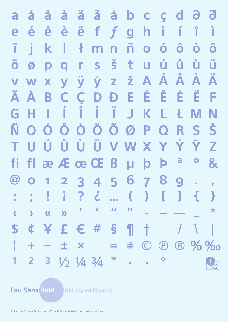ä ã å b c ç d â 3 à á a f ë Í ê  $\boldsymbol{f}$ Î Ť. è  $h$ ì é  $\overline{g}$ e  $\ddot{\mathbf{0}}$ ï ñ  $\hat{\mathbf{o}}$ î  $\ddot{\mathbf{o}}$  $\dot{\mathbf{O}}$  $\mathbf k$  $\ddagger$ J  $m$  $\bullet$ n Š  $\tilde{O}$ û  $\mathbf t$ Ú ù r s  $\overline{\mathsf{U}}$ q p Ø U ÿýzžAÁÂ À A X **V** V W ÇDĐEÉÊ Ã È Æ Å  $\mathsf C$ Æ B Ü Î Ì G  $\overline{\mathsf{J}}$ K н ĺ L Ł I N M ÒÖÕØPQ Ô Š  $\bullet$ Ñ  $\overline{\mathbf{O}}$ R S ÙÜVWXYÝ Ÿ Û Ú т Z U Þ a  $\mathbf{g}$ fl æ Æ œ Œ B  $\mathsf{b}$  $\bullet$ fi  $\mathsf{u}$  $23456$  $\bigcirc$ 8  $\overline{7}$ 9  $\bullet$  $\blacksquare$  $\blacksquare$ ? 1 E  $\{$  $\mathbf{R}$  $\dot{\mathcal{L}}$ Ī  $\boldsymbol{\mathcal{H}}$  $\blacksquare$  $\blacksquare$  $\bigstar$  $\boldsymbol{\Sigma}$  $\overline{\mathbf{K}}$  $\blacktriangleright$  $\blacktriangleleft$  $\equiv$  $\mathbf{t}$ ¥  $f \in H$ S \$ ¢  $\mathbf T$  $\sqrt{2}$ **Contract Contract** 

# **TM**  $\bullet$  $\frac{1}{2}$   $\frac{1}{4}$   $\frac{3}{4}$

### **Eau Sans Bold Old-styled Figures**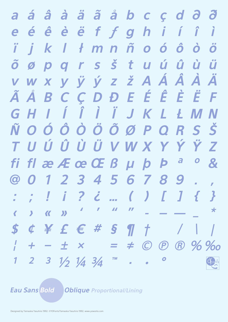$a$  á  $\hat{a}$  à  $\ddot{a}$   $\ddot{a}$   $\dot{a}$   $b$   $c$   $c$   $d$   $\partial$   $\ddot{\partial}$ éêèëffghií î e jk lłmnñoóôò  $\ddot{o}$ õøpgrsštuúûùü v w x y ÿ ý z ž A Á Á Á Ä à Å B C C D Đ E É Ê Ë F GHIÍÏJKLŁMN ÑOÓÔÔÖÕØPQRSS TUÚÛÙÜVWXYÝŸZ fi flæÆceŒß µ þ Þ ª  $\boldsymbol{\alpha}$  $\boldsymbol{o}$ 1 2 3 4 5 6 7 8 9  $\boldsymbol{\omega}$  $\boldsymbol{O}$ ; ! i ? i ... ( ) [ ] { }  $\overline{a}$  and  $\overline{a}$  $\mathcal{L}$  and  $\mathcal{L}$  $\mathbf{H}$  $\star$ **K** »  $\overline{\phantom{0}}$  $\begin{array}{cccccccccccccc} \mathbf{c} & \mathbf{y} & \mathbf{z} & \mathbf{c} & \mathbf{z} & \mathbf{z} & \mathbf{y} & \mathbf{z} & \mathbf{z} & \mathbf{z} & \mathbf{z} & \mathbf{z} & \mathbf{z} & \mathbf{z} & \mathbf{z} & \mathbf{z} & \mathbf{z} & \mathbf{z} & \mathbf{z} & \mathbf{z} & \mathbf{z} & \mathbf{z} & \mathbf{z} & \mathbf{z} & \mathbf{z} & \mathbf{z} & \mathbf{z} & \mathbf{z} & \mathbf{z} & \mathbf{z} &$  $\boldsymbol{s}$ 

### 3 **TM**  $\bullet$  $\frac{1}{2}$   $\frac{1}{4}$   $\frac{3}{4}$

#### **Eau Sans Bold Oblique Proportional/Lining**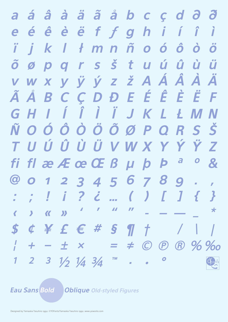a á â à ä ã å b c ç d ð ð éêèëffghií î e jk lłmnñoóôò  $\ddot{o}$ õøpgrsštuúûùü v w x y ÿ ý z ž A Á Á Á Ä à Å B C C D Đ E É Ê Ë F GHIÍÏJKLŁMN ÑOÓÔÔÖÕØPQRSS TUÚÛÙÜVWXYÝŸZ fi flæÆceCEBubP<sup>a</sup>  $\boldsymbol{\alpha}$  $\boldsymbol{o}$ 1 2 3 4 5 6 7 8 9 @ 0 ; ! i ? ¿ ... ( ) [ ] { }  $\overline{\phantom{a}}$   $\overline{\phantom{a}}$   $\overline{\phantom{a}}$   $\overline{\phantom{a}}$  $\boldsymbol{I}$   $\boldsymbol{M}$  $\mathbf{H}$  $\star$ **K** *D*  $C \times E \in H S \cup H$  $\boldsymbol{s}$ 

### 3 **TM**  $\bullet$  $\frac{1}{2}$   $\frac{1}{4}$   $\frac{3}{4}$

#### **Eau Sans Bold Oblique Old-styled Figures**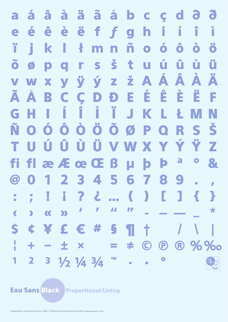ääåbcçd∂ â à á 8 a  $\ddot{e}$  f  $f$ ê è g h i.  $\mathbf{I}$ Î é ì e ï ö ñ  $\hat{\mathbf{o}}$ ò  $\ddot{\mathbf{o}}$ j  $\mathbf k$  $\ddagger$ J  $\bullet$ m n Š ü õ û ú ù t  $\overline{\mathbf{u}}$ r  $\mathbf{s}$ q D Ø Ä ÿýzžAÁÂÀ W X V V È ÃÅ ÇDĐEÉÊÈ C B Æ T Î Ì  $\overline{\mathsf{J}}$ Ł G ĺ н K I L N M ÔÒÖÕØPQ  $\bullet$ Š Ñ  $\bullet$ R S ÙÜVWXYÝ Ÿ Û Ú Z т U Þ 8 fi. æ Æ œ Œ ß µ **b** a  $\bullet$  $f<sup>1</sup>$ 2 3 4 5 6 8 9  $\overline{\mathbf{0}}$  $\bigcirc$ 1  $\mathbf{Z}$  $\overline{\phantom{a}}$  $\overline{\phantom{a}}$ E 1  $\mathbf{f}$  $\boldsymbol{\mathsf{R}}$  $2<sup>2</sup>$ Ā and i п  $\boldsymbol{\mathcal{I}}$  $\blacksquare$  $\bigstar$  $\overline{\phantom{0}}$  $\blacktriangleright$  $\overline{\mathbf{K}}$ D  $\blacktriangleleft$  $\blacksquare$  $\int$  $\begin{array}{c} \hline \end{array}$  $\overline{\mathbf{1}}$ ¥ S  $f \in H$  $\overline{\phantom{a}}$ ¢  $\mathbf{I}$ **STATISTICS** 

# **TM**  $\frac{1}{2}$   $\frac{1}{4}$   $\frac{3}{4}$  $\bullet$

### **Eau Sans Black Proportional/Lining**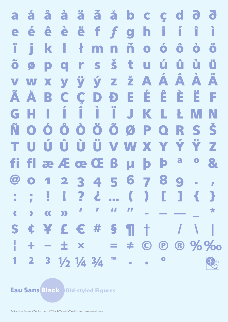ääåbcçd∂ â à á a  $\ddot{e}$  f  $f$ ê è g h  $\mathbf{I}$ î é i. ì e ï ö ñ  $\hat{\mathbf{o}}$ ò  $\ddot{\mathbf{o}}$ j  $\mathbf k$  $\ddagger$ J  $\bullet$ m n  $\check{\mathbf{s}}$ ü õ û ú ù t  $\overline{\mathsf{u}}$ r  $\mathbf{s}$ q Ø D Ä ÿýzžAÁÂÀ W V X V ÃÅ ÇDĐEÉÊÈ Æ B C Æ Ť Î Ì  $\int$ Ł G Ī K н I L N M ÔÒÖÕØPQ  $\bullet$ Š Ñ  $\bullet$ R S ÙÜVWXYÝŸ Û Ú Z т U 8 flæÆceCEBubÞ a  $\bullet$ fi. 2 3 4 5 6 8  $\bigcirc$  $\overline{\phantom{a}}$ 9  $\bullet$  $\blacksquare$  $\blacksquare$  $\overline{\phantom{a}}$ 2 E 1  $\left\{ \right.$ ł  $\mathcal{L}$ y Ā  $\mathcal{L}_{\mathcal{A}}$ and i  $\boldsymbol{\mathcal{L}}$  $\blacksquare$  $\bigstar$  $\overline{\phantom{0}}$  $\blacktriangleright$  $\sum$ K  $\blacktriangleleft$  $\overline{\phantom{0}}$  $\overline{\mathbf{1}}$  $\mathbf{t}$ S  $\mathbf{Y} \in \mathcal{E}$  $\mathbf{s}$  $\overline{\phantom{a}}$ ¢  $\mathbf{I}$ **Contract Contract** 

# **TM**  $\frac{1}{2}$   $\frac{1}{4}$   $\frac{3}{4}$  $\bullet$

### **Eau Sans Black Old-styled Figures**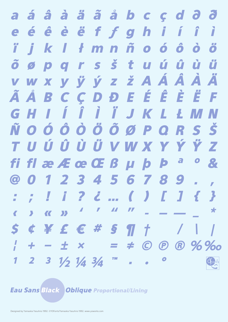$a$  á  $\hat{a}$  à  $\ddot{a}$   $\ddot{a}$   $\dot{a}$   $b$   $c$   $c$   $d$   $\partial$   $\ddot{o}$ e é ê è ë f f g h i í î ì ïjk lłmnñoóôò ö õøpgrsštuúûùü W X Y Ÿ Ý Z Ž A Á Á Á Ä V à Å B C Ç D Đ E É Ê È Ë F GHIÍÏJKLŁMN ÑOÓÔÔÖÕØPQRSS TUÚÛÙŬVWXYÝÝZ fifiæ Æ œ Œ ß µ þ b <sup>a o</sup> 8 123456789.  $\bm{\omega}$   $\bm{o}$ ; ! i ? ¿ ... ( ) [ ] { }  $\left\langle \left\langle \right\rangle \right\rangle$  $\overline{\phantom{0}}$  $S$   $\in$   $Y$   $E$   $\in$   $H$   $S$   $T$   $T$   $T$  $\sim$   $\sim$   $\sim$   $\sim$   $\sim$   $\sim$   $\sim$ 

# 3 **TM**  $\frac{1}{2}$   $\frac{1}{4}$   $\frac{3}{4}$

### **Eau Sans Black Oblique Proportional/Lining**